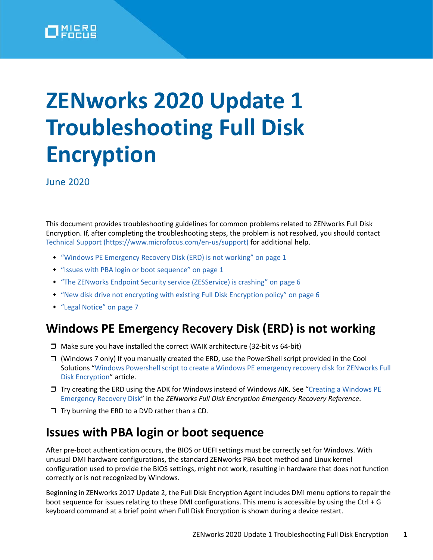

# **ZENworks 2020 Update 1 Troubleshooting Full Disk Encryption**

June 2020

This document provides troubleshooting guidelines for common problems related to ZENworks Full Disk Encryption. If, after completing the troubleshooting steps, the problem is not resolved, you should contact Technical Support (https://www.microfocus.com/en-us/support) for additional help.

- ["Windows PE Emergency Recovery Disk \(ERD\) is not working" on page 1](#page-0-0)
- ["Issues with PBA login or boot sequence" on page 1](#page-0-1)
- ["The ZENworks Endpoint Security service \(ZESService\) is crashing" on page 6](#page-5-0)
- ["New disk drive not encrypting with existing Full Disk Encryption policy" on page 6](#page-5-1)
- ["Legal Notice" on page 7](#page-6-0)

## <span id="page-0-0"></span>**Windows PE Emergency Recovery Disk (ERD) is not working**

- $\Box$  Make sure you have installed the correct WAIK architecture (32-bit vs 64-bit)
- $\Box$  (Windows 7 only) If you manually created the ERD, use the PowerShell script provided in the Cool Solutions "Windows Powershell script to create a Windows PE emergency recovery disk for ZENworks Full Disk Encryption" article.
- $\Box$  Try creating the ERD using the ADK for Windows instead of Windows AIK. See "Creating a Windows PE [Emergency Recovery Disk"](https://www.novell.com/documentation/zenworks-2020/pdfdoc/zen_fde_emergency_recovery/zen_fde_emergency_recovery.pdf#bwqyhrc) in the *ZENworks Full Disk Encryption Emergency Recovery Reference*.
- $\Box$  Try burning the ERD to a DVD rather than a CD.

## <span id="page-0-1"></span>**Issues with PBA login or boot sequence**

After pre-boot authentication occurs, the BIOS or UEFI settings must be correctly set for Windows. With unusual DMI hardware configurations, the standard ZENworks PBA boot method and Linux kernel configuration used to provide the BIOS settings, might not work, resulting in hardware that does not function correctly or is not recognized by Windows.

Beginning in ZENworks 2017 Update 2, the Full Disk Encryption Agent includes DMI menu options to repair the boot sequence for issues relating to these DMI configurations. This menu is accessible by using the Ctrl + G keyboard command at a brief point when Full Disk Encryption is shown during a device restart.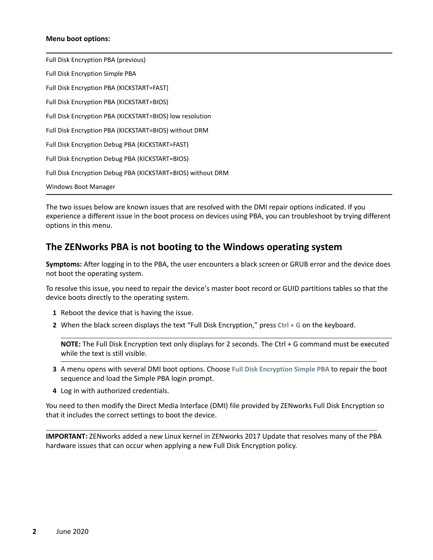#### **Menu boot options:**

Full Disk Encryption PBA (previous) Full Disk Encryption Simple PBA Full Disk Encryption PBA (KICKSTART=FAST) Full Disk Encryption PBA (KICKSTART=BIOS) Full Disk Encryption PBA (KICKSTART=BIOS) low resolution Full Disk Encryption PBA (KICKSTART=BIOS) without DRM Full Disk Encryption Debug PBA (KICKSTART=FAST) Full Disk Encryption Debug PBA (KICKSTART=BIOS) Full Disk Encryption Debug PBA (KICKSTART=BIOS) without DRM Windows Boot Manager

The two issues below are known issues that are resolved with the DMI repair options indicated. If you experience a different issue in the boot process on devices using PBA, you can troubleshoot by trying different options in this menu.

### **The ZENworks PBA is not booting to the Windows operating system**

**Symptoms:** After logging in to the PBA, the user encounters a black screen or GRUB error and the device does not boot the operating system.

To resolve this issue, you need to repair the device's master boot record or GUID partitions tables so that the device boots directly to the operating system.

- **1** Reboot the device that is having the issue.
- **2** When the black screen displays the text "Full Disk Encryption," press **Ctrl + G** on the keyboard.

**NOTE:** The Full Disk Encryption text only displays for 2 seconds. The Ctrl + G command must be executed while the text is still visible.

- **3** A menu opens with several DMI boot options. Choose **Full Disk Encryption Simple PBA** to repair the boot sequence and load the Simple PBA login prompt.
- **4** Log in with authorized credentials.

You need to then modify the Direct Media Interface (DMI) file provided by ZENworks Full Disk Encryption so that it includes the correct settings to boot the device.

**IMPORTANT:** ZENworks added a new Linux kernel in ZENworks 2017 Update that resolves many of the PBA hardware issues that can occur when applying a new Full Disk Encryption policy.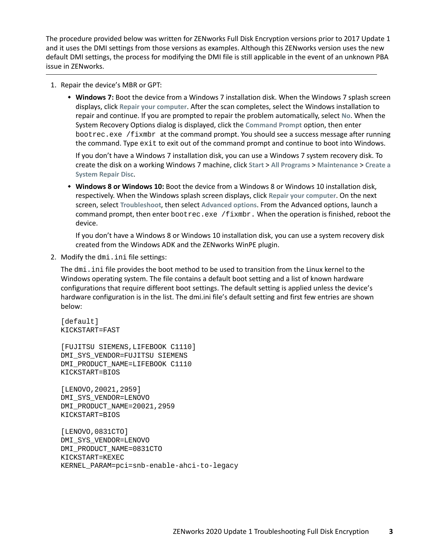The procedure provided below was written for ZENworks Full Disk Encryption versions prior to 2017 Update 1 and it uses the DMI settings from those versions as examples. Although this ZENworks version uses the new default DMI settings, the process for modifying the DMI file is still applicable in the event of an unknown PBA issue in ZENworks.

- 1. Repair the device's MBR or GPT:
	- **Windows 7:** Boot the device from a Windows 7 installation disk. When the Windows 7 splash screen displays, click **Repair your computer**. After the scan completes, select the Windows installation to repair and continue. If you are prompted to repair the problem automatically, select **No**. When the System Recovery Options dialog is displayed, click the **Command Prompt** option, then enter bootrec.exe /fixmbr at the command prompt. You should see a success message after running the command. Type exit to exit out of the command prompt and continue to boot into Windows.

If you don't have a Windows 7 installation disk, you can use a Windows 7 system recovery disk. To create the disk on a working Windows 7 machine, click **Start** > **All Programs** > **Maintenance** > **Create a System Repair Disc**.

 **Windows 8 or Windows 10:** Boot the device from a Windows 8 or Windows 10 installation disk, respectively. When the Windows splash screen displays, click **Repair your computer**. On the next screen, select **Troubleshoot**, then select **Advanced options**. From the Advanced options, launch a command prompt, then enter  $\text{bootstrap}$ . exe /fixmbr. When the operation is finished, reboot the device.

If you don't have a Windows 8 or Windows 10 installation disk, you can use a system recovery disk created from the Windows ADK and the ZENworks WinPE plugin.

2. Modify the dmi.ini file settings:

The dmi.ini file provides the boot method to be used to transition from the Linux kernel to the Windows operating system. The file contains a default boot setting and a list of known hardware configurations that require different boot settings. The default setting is applied unless the device's hardware configuration is in the list. The dmi.ini file's default setting and first few entries are shown below:

[default] KICKSTART=FAST

[FUJITSU SIEMENS,LIFEBOOK C1110] DMI\_SYS\_VENDOR=FUJITSU SIEMENS DMI\_PRODUCT\_NAME=LIFEBOOK C1110 KICKSTART=BIOS

[LENOVO,20021,2959] DMI\_SYS\_VENDOR=LENOVO DMI\_PRODUCT\_NAME=20021,2959 KICKSTART=BIOS

```
[LENOVO,0831CTO]
DMI_SYS_VENDOR=LENOVO
DMI_PRODUCT_NAME=0831CTO
KICKSTART=KEXEC
KERNEL_PARAM=pci=snb-enable-ahci-to-legacy
```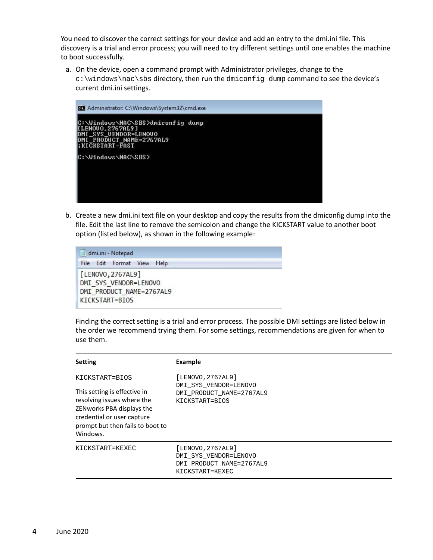You need to discover the correct settings for your device and add an entry to the dmi.ini file. This discovery is a trial and error process; you will need to try different settings until one enables the machine to boot successfully.

a. On the device, open a command prompt with Administrator privileges, change to the c:\windows\nac\sbs directory, then run the dmiconfig dump command to see the device's current dmi.ini settings.



b. Create a new dmi.ini text file on your desktop and copy the results from the dmiconfig dump into the file. Edit the last line to remove the semicolon and change the KICKSTART value to another boot option (listed below), as shown in the following example:

| www<br>dmi.ini - Notepad                                                                 |                            |  |  |  |
|------------------------------------------------------------------------------------------|----------------------------|--|--|--|
|                                                                                          | File Edit Format View Help |  |  |  |
| [LENOVO, 2767AL9]<br>DMI SYS VENDOR=LENOVO<br>DMI PRODUCT NAME=2767AL9<br>KICKSTART=BIOS |                            |  |  |  |

Finding the correct setting is a trial and error process. The possible DMI settings are listed below in the order we recommend trying them. For some settings, recommendations are given for when to use them.

| <b>Setting</b>                                                                                                                                                                          | <b>Example</b>                                                                            |
|-----------------------------------------------------------------------------------------------------------------------------------------------------------------------------------------|-------------------------------------------------------------------------------------------|
| KICKSTART=BIOS<br>This setting is effective in<br>resolving issues where the<br>ZENworks PBA displays the<br>credential or user capture<br>prompt but then fails to boot to<br>Windows. | [LENOVO, 2767AL9]<br>DMI SYS VENDOR=LENOVO<br>DMI PRODUCT NAME=2767AL9<br>KICKSTART=BIOS  |
| KICKSTART=KEXEC                                                                                                                                                                         | [LENOVO, 2767AL9]<br>DMI SYS VENDOR=LENOVO<br>DMI PRODUCT NAME=2767AL9<br>KICKSTART=KEXEC |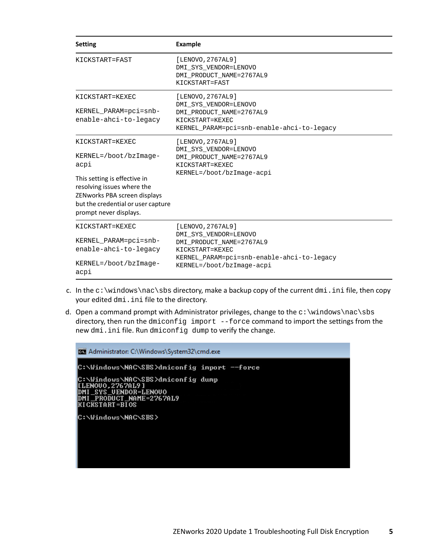| <b>Setting</b>                                                                                                                                                                                                   | <b>Example</b>                                                                                                                                                       |
|------------------------------------------------------------------------------------------------------------------------------------------------------------------------------------------------------------------|----------------------------------------------------------------------------------------------------------------------------------------------------------------------|
| KICKSTART=FAST                                                                                                                                                                                                   | [LENOVO, 2767AL9]<br>DMI SYS VENDOR=LENOVO<br>DMI PRODUCT NAME=2767AL9<br>KICKSTART=FAST                                                                             |
| KICKSTART=KEXEC<br>KERNEL PARAM=pci=snb-<br>enable-ahci-to-legacy                                                                                                                                                | [LENOVO, 2767AL9]<br>DMI SYS VENDOR=LENOVO<br>DMI_PRODUCT_NAME=2767AL9<br>KICKSTART=KEXEC<br>KERNEL PARAM=pci=snb-enable-ahci-to-legacy                              |
| KICKSTART=KEXEC<br>$KERNEL=/boot/bzImage-$<br>acpi<br>This setting is effective in<br>resolving issues where the<br>ZENworks PBA screen displays<br>but the credential or user capture<br>prompt never displays. | [LENOVO, 2767AL9]<br>DMI SYS VENDOR=LENOVO<br>DMI PRODUCT NAME=2767AL9<br>KICKSTART=KEXEC<br>KERNEL=/boot/bzImage-acpi                                               |
| KICKSTART=KEXEC<br>KERNEL PARAM=pci=snb-<br>enable-ahci-to-legacy<br>$KERNEL=/boot/bzImage-$<br>acpi                                                                                                             | [LENOVO, 2767AL9]<br>DMI SYS VENDOR=LENOVO<br>DMI PRODUCT NAME=2767AL9<br>KICKSTART=KEXEC<br>KERNEL PARAM=pci=snb-enable-ahci-to-legacy<br>KERNEL=/boot/bzImage-acpi |

- c. In the  $c:\wedge\text{index}\s$  directory, make a backup copy of the current  $dmi$ . ini file, then copy your edited dmi.ini file to the directory.
- d. Open a command prompt with Administrator privileges, change to the  $c:\wedge\text{index}\s$ directory, then run the dmiconfig import --force command to import the settings from the new dmi.ini file. Run dmiconfig dump to verify the change.

| Ba Administrator: C:\Windows\System32\cmd.exe                                                                                   |  |  |  |  |  |  |
|---------------------------------------------------------------------------------------------------------------------------------|--|--|--|--|--|--|
|                                                                                                                                 |  |  |  |  |  |  |
| C:\Windows\NAC\SBS>dmiconfig dump<br>[LENOVO.2767AL9]<br>DMI_SYS_UENDOR=LENOUO<br>DMI_PRODUCT_NAME=2767AL9<br>IKI CKSTART=BI OS |  |  |  |  |  |  |
| C:\Windows\NAC\SBS>                                                                                                             |  |  |  |  |  |  |
|                                                                                                                                 |  |  |  |  |  |  |
|                                                                                                                                 |  |  |  |  |  |  |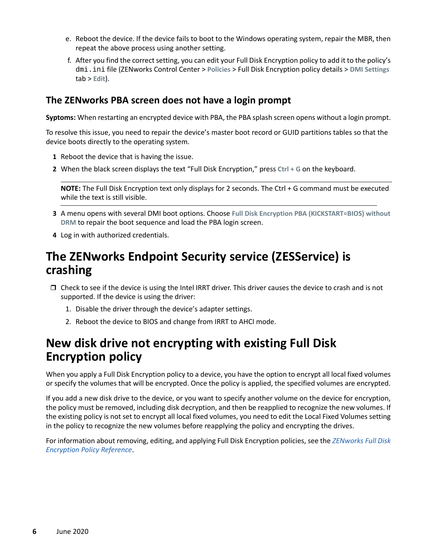- e. Reboot the device. If the device fails to boot to the Windows operating system, repair the MBR, then repeat the above process using another setting.
- f. After you find the correct setting, you can edit your Full Disk Encryption policy to add it to the policy's dmi.ini file (ZENworks Control Center > **Policies** > Full Disk Encryption policy details > **DMI Settings** tab > **Edit**).

## **The ZENworks PBA screen does not have a login prompt**

**Syptoms:** When restarting an encrypted device with PBA, the PBA splash screen opens without a login prompt.

To resolve this issue, you need to repair the device's master boot record or GUID partitions tables so that the device boots directly to the operating system.

- **1** Reboot the device that is having the issue.
- **2** When the black screen displays the text "Full Disk Encryption," press **Ctrl + G** on the keyboard.

**NOTE:** The Full Disk Encryption text only displays for 2 seconds. The Ctrl + G command must be executed while the text is still visible.

- **3** A menu opens with several DMI boot options. Choose **Full Disk Encryption PBA (KICKSTART=BIOS) without DRM** to repair the boot sequence and load the PBA login screen.
- **4** Log in with authorized credentials.

## <span id="page-5-0"></span>**The ZENworks Endpoint Security service (ZESService) is crashing**

- $\Box$  Check to see if the device is using the Intel IRRT driver. This driver causes the device to crash and is not supported. If the device is using the driver:
	- 1. Disable the driver through the device's adapter settings.
	- 2. Reboot the device to BIOS and change from IRRT to AHCI mode.

## <span id="page-5-1"></span>**New disk drive not encrypting with existing Full Disk Encryption policy**

When you apply a Full Disk Encryption policy to a device, you have the option to encrypt all local fixed volumes or specify the volumes that will be encrypted. Once the policy is applied, the specified volumes are encrypted.

If you add a new disk drive to the device, or you want to specify another volume on the device for encryption, the policy must be removed, including disk decryption, and then be reapplied to recognize the new volumes. If the existing policy is not set to encrypt all local fixed volumes, you need to edit the Local Fixed Volumes setting in the policy to recognize the new volumes before reapplying the policy and encrypting the drives.

For information about removing, editing, and applying Full Disk Encryption policies, see the *[ZENworks Full Disk](https://www.novell.com/documentation/zenworks-2020/pdfdoc/zen_fde_policies/zen_fde_policies.pdf#bookinfo)  [Encryption Policy Reference](https://www.novell.com/documentation/zenworks-2020/pdfdoc/zen_fde_policies/zen_fde_policies.pdf#bookinfo)*.